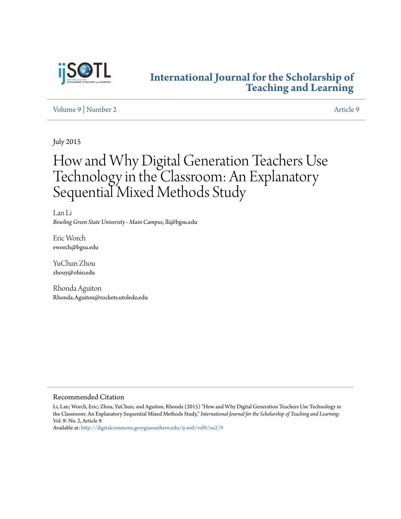

## **[International Journal for the Scholarship of](http://digitalcommons.georgiasouthern.edu/ij-sotl?utm_source=digitalcommons.georgiasouthern.edu%2Fij-sotl%2Fvol9%2Fiss2%2F9&utm_medium=PDF&utm_campaign=PDFCoverPages) [Teaching and Learning](http://digitalcommons.georgiasouthern.edu/ij-sotl?utm_source=digitalcommons.georgiasouthern.edu%2Fij-sotl%2Fvol9%2Fiss2%2F9&utm_medium=PDF&utm_campaign=PDFCoverPages)**

## [Volume 9](http://digitalcommons.georgiasouthern.edu/ij-sotl/vol9?utm_source=digitalcommons.georgiasouthern.edu%2Fij-sotl%2Fvol9%2Fiss2%2F9&utm_medium=PDF&utm_campaign=PDFCoverPages) | [Number 2](http://digitalcommons.georgiasouthern.edu/ij-sotl/vol9/iss2?utm_source=digitalcommons.georgiasouthern.edu%2Fij-sotl%2Fvol9%2Fiss2%2F9&utm_medium=PDF&utm_campaign=PDFCoverPages) [Article 9](http://digitalcommons.georgiasouthern.edu/ij-sotl/vol9/iss2/9?utm_source=digitalcommons.georgiasouthern.edu%2Fij-sotl%2Fvol9%2Fiss2%2F9&utm_medium=PDF&utm_campaign=PDFCoverPages)

July 2015

# How and Why Digital Generation Teachers Use Technology in the Classroom: An Explanatory Sequential Mixed Methods Study

Lan Li *Bowling Green State University - Main Campus*, lli@bgsu.edu

Eric Worch eworch@bgsu.edu

YuChun Zhou zhouy@ohio.edu

Rhonda Aguiton Rhonda.Aguiton@rockets.utoledo.edu

#### Recommended Citation

Li, Lan; Worch, Eric; Zhou, YuChun; and Aguiton, Rhonda (2015) "How and Why Digital Generation Teachers Use Technology in the Classroom: An Explanatory Sequential Mixed Methods Study," *International Journal for the Scholarship of Teaching and Learning*: Vol. 9: No. 2, Article 9.

Available at: [http://digitalcommons.georgiasouthern.edu/ij-sotl/vol9/iss2/9](http://digitalcommons.georgiasouthern.edu/ij-sotl/vol9/iss2/9?utm_source=digitalcommons.georgiasouthern.edu%2Fij-sotl%2Fvol9%2Fiss2%2F9&utm_medium=PDF&utm_campaign=PDFCoverPages)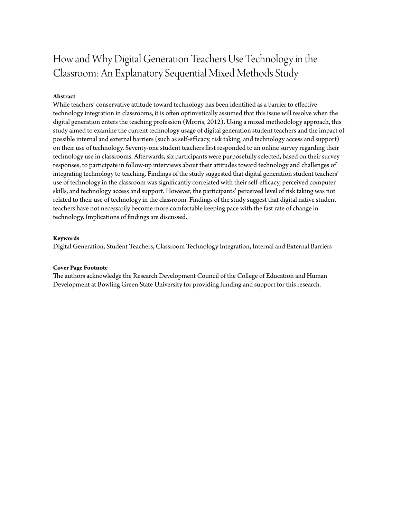## How and Why Digital Generation Teachers Use Technology in the Classroom: An Explanatory Sequential Mixed Methods Study

## **Abstract**

While teachers' conservative attitude toward technology has been identified as a barrier to effective technology integration in classrooms, it is often optimistically assumed that this issue will resolve when the digital generation enters the teaching profession (Morris, 2012). Using a mixed methodology approach, this study aimed to examine the current technology usage of digital generation student teachers and the impact of possible internal and external barriers (such as self-efficacy, risk taking, and technology access and support) on their use of technology. Seventy-one student teachers first responded to an online survey regarding their technology use in classrooms. Afterwards, six participants were purposefully selected, based on their survey responses, to participate in follow-up interviews about their attitudes toward technology and challenges of integrating technology to teaching. Findings of the study suggested that digital generation student teachers' use of technology in the classroom was significantly correlated with their self-efficacy, perceived computer skills, and technology access and support. However, the participants' perceived level of risk taking was not related to their use of technology in the classroom. Findings of the study suggest that digital native student teachers have not necessarily become more comfortable keeping pace with the fast rate of change in technology. Implications of findings are discussed.

### **Keywords**

Digital Generation, Student Teachers, Classroom Technology Integration, Internal and External Barriers

#### **Cover Page Footnote**

The authors acknowledge the Research Development Council of the College of Education and Human Development at Bowling Green State University for providing funding and support for this research.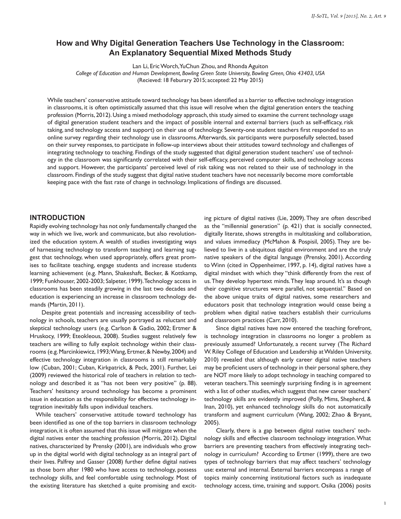## **How and Why Digital Generation Teachers Use Technology in the Classroom: An Explanatory Sequential Mixed Methods Study**

Lan Li, Eric Worch, YuChun Zhou, and Rhonda Aguiton

*College of Education and Human Development, Bowling Green State University, Bowling Green, Ohio 43403, USA* (Recieved: 18 Feburary 2015; accepted: 22 May 2015)

While teachers' conservative attitude toward technology has been identified as a barrier to effective technology integration in classrooms, it is often optimistically assumed that this issue will resolve when the digital generation enters the teaching profession (Morris, 2012). Using a mixed methodology approach, this study aimed to examine the current technology usage of digital generation student teachers and the impact of possible internal and external barriers (such as self-efficacy, risk taking, and technology access and support) on their use of technology. Seventy-one student teachers first responded to an online survey regarding their technology use in classrooms. Afterwards, six participants were purposefully selected, based on their survey responses, to participate in follow-up interviews about their attitudes toward technology and challenges of integrating technology to teaching. Findings of the study suggested that digital generation student teachers' use of technology in the classroom was significantly correlated with their self-efficacy, perceived computer skills, and technology access and support. However, the participants' perceived level of risk taking was not related to their use of technology in the classroom. Findings of the study suggest that digital native student teachers have not necessarily become more comfortable keeping pace with the fast rate of change in technology. Implications of findings are discussed.

#### **INTRODUCTION**

Rapidly evolving technology has not only fundamentally changed the way in which we live, work and communicate, but also revolutionized the education system. A wealth of studies investigating ways of harnessing technology to transform teaching and learning suggest that technology, when used appropriately, offers great promises to facilitate teaching, engage students and increase students learning achievement (e.g. Mann, Shakeshaft, Becker, & Kottkamp, 1999; Funkhouser, 2002-2003; Salpeter, 1999). Technology access in classrooms has been steadily growing in the last two decades and education is experiencing an increase in classroom technology demands (Martin, 2011).

Despite great potentials and increasing accessibility of technology in schools, teachers are usually portrayed as reluctant and skeptical technology users (e.g. Carlson & Gadio, 2002; Ertmer & Hruskocy, 1999; Eteokleous, 2008). Studies suggest relatively few teachers are willing to fully exploit technology within their classrooms (e.g. Marcinkiewicz, 1993; Wang, Ertmer, & Newby, 2004) and effective technology integration in classrooms is still remarkably low (Cuban, 2001; Cuban, Kirkpatrick, & Peck, 2001). Further, Lei (2009) reviewed the historical role of teachers in relation to technology and described it as "has not been very positive" (p. 88). Teachers' hesitancy around technology has become a prominent issue in education as the responsibility for effective technology integration inevitably falls upon individual teachers.

While teachers' conservative attitude toward technology has been identified as one of the top barriers in classroom technology integration, it is often assumed that this issue will mitigate when the digital natives enter the teaching profession (Morris, 2012). Digital natives, characterized by Prensky (2001), are individuals who grow up in the digital world with digital technology as an integral part of their lives. Palfrey and Gasser (2008) further define digital natives as those born after 1980 who have access to technology, possess technology skills, and feel comfortable using technology. Most of the existing literature has sketched a quite promising and excit-

ing picture of digital natives (Lie, 2009). They are often described as the "millennial generation" (p. 421) that is socially connected, digitally literate, shows strengths in multitasking and collaboration, and values immediacy (McMahon & Pospisil, 2005). They are believed to live in a ubiquitous digital environment and are the truly native speakers of the digital language (Prensky, 2001). According to Winn (cited in Oppenheimer, 1997, p. 14), digital natives have a digital mindset with which they "think differently from the rest of us. They develop hypertext minds. They leap around. It's as though their cognitive structures were parallel, not sequential." Based on the above unique traits of digital natives, some researchers and educators posit that technology integration would cease being a problem when digital native teachers establish their curriculums and classroom practices (Carr, 2010).

Since digital natives have now entered the teaching forefront, is technology integration in classrooms no longer a problem as previously assumed? Unfortunately, a recent survey (The Richard W. Riley College of Education and Leadership at Walden University, 2010) revealed that although early career digital native teachers may be proficient users of technology in their personal sphere, they are NOT more likely to adopt technology in teaching compared to veteran teachers. This seemingly surprising finding is in agreement with a list of other studies, which suggest that new career teachers' technology skills are evidently improved (Polly, Mims, Shepherd, & Inan, 2010), yet enhanced technology skills do not automatically transform and augment curriculum (Wang, 2002; Zhao & Bryant, 2005).

Clearly, there is a gap between digital native teachers' technology skills and effective classroom technology integration. What barriers are preventing teachers from effectively integrating technology in curriculum? According to Ertmer (1999), there are two types of technology barriers that may affect teachers' technology use: external and internal. External barriers encompass a range of topics mainly concerning institutional factors such as inadequate technology access, time, training and support. Osika (2006) posits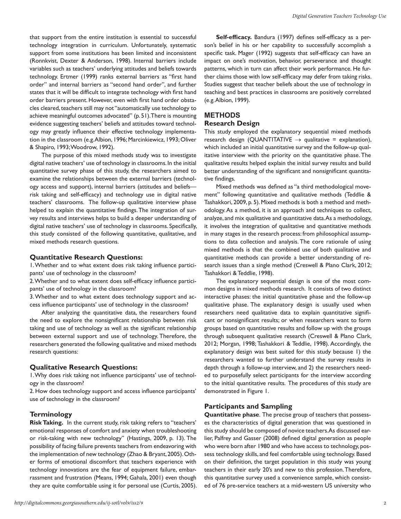that support from the entire institution is essential to successful technology integration in curriculum. Unfortunately, systematic support from some institutions has been limited and inconsistent (Ronnkvist, Dexter & Anderson, 1998). Internal barriers include variables such as teachers' underlying attitudes and beliefs towards technology. Ertmer (1999) ranks external barriers as "first hand order" and internal barriers as "second hand order", and further states that it will be difficult to integrate technology with first hand order barriers present. However, even with first hand order obstacles cleared, teachers still may not "automatically use technology to achieve meaningful outcomes advocated" (p. 51). There is mounting evidence suggesting teachers' beliefs and attitudes toward technology may greatly influence their effective technology implementation in the classroom (e.g. Albion, 1996; Marcinkiewicz, 1993; Oliver & Shapiro, 1993; Woodrow, 1992).

The purpose of this mixed methods study was to investigate digital native teachers' use of technology in classrooms. In the initial quantitative survey phase of this study, the researchers aimed to examine the relationships between the external barriers (technology access and support), internal barriers (attitudes and beliefs risk taking and self-efficacy) and technology use in digital native teachers' classrooms. The follow-up qualitative interview phase helped to explain the quantitative findings. The integration of survey results and interviews helps to build a deeper understanding of digital native teachers' use of technology in classrooms. Specifically, this study consisted of the following quantitative, qualitative, and mixed methods research questions.

#### **Quantitative Research Questions:**

1. Whether and to what extent does risk taking influence participants' use of technology in the classroom?

2. Whether and to what extent does self-efficacy influence participants' use of technology in the classroom?

3. Whether and to what extent does technology support and access influence participants' use of technology in the classroom?

After analyzing the quantitative data, the researchers found the need to explore the nonsignificant relationship between risk taking and use of technology as well as the significant relationship between external support and use of technology. Therefore, the researchers generated the following qualitative and mixed methods research questions:

## **Qualitative Research Questions:**

1. Why does risk taking not influence participants' use of technology in the classroom?

2. How does technology support and access influence participants' use of technology in the classroom?

## **Terminology**

**Risk Taking.** In the current study, risk taking refers to "teachers' emotional responses of comfort and anxiety when troubleshooting or risk-taking with new technology" (Hastings, 2009, p. 13). The possibility of facing failure prevents teachers from endeavoring with the implementation of new technology (Zhao & Bryant, 2005). Other forms of emotional discomfort that teachers experience with technology innovations are the fear of equipment failure, embarrassment and frustration (Means, 1994; Gahala, 2001) even though they are quite comfortable using it for personal use (Curtis, 2005).

**Self-efficacy.** Bandura (1997) defines self-efficacy as a person's belief in his or her capability to successfully accomplish a specific task. Mager (1992) suggests that self-efficacy can have an impact on one's motivation, behavior, perseverance and thought patterns, which in turn can affect their work performance. He further claims those with low self-efficacy may defer from taking risks. Studies suggest that teacher beliefs about the use of technology in teaching and best practices in classrooms are positively correlated (e.g. Albion, 1999).

## **METHODS Research Design**

This study employed the explanatory sequential mixed methods research design (QUANTITATIVE  $\rightarrow$  qualitative = explanation), which included an initial quantitative survey and the follow-up qualitative interview with the priority on the quantitative phase. The qualitative results helped explain the initial survey results and build better understanding of the significant and nonsignificant quantitative findings.

Mixed methods was defined as "a third methodological movement" following quantitative and qualitative methods (Teddlie & Tashakkori, 2009, p. 5). Mixed methods is both a method and methodology. As a method, it is an approach and techniques to collect, analyze, and mix qualitative and quantitative data. As a methodology, it involves the integration of qualitative and quantitative methods in many stages in the research process: from philosophical assumptions to data collection and analysis. The core rationale of using mixed methods is that the combined use of both qualitative and quantitative methods can provide a better understanding of research issues than a single method (Creswell & Plano Clark, 2012; Tashakkori & Teddlie, 1998).

The explanatory sequential design is one of the most common designs in mixed methods research. It consists of two distinct interactive phases: the initial quantitative phase and the follow-up qualitative phase. The explanatory design is usually used when researchers need qualitative data to explain quantitative significant or nonsignificant results; or when researchers want to form groups based on quantitative results and follow up with the groups through subsequent qualitative research (Creswell & Plano Clark, 2012; Morgan, 1998; Tashakkori & Teddlie, 1998). Accordingly, the explanatory design was best suited for this study because 1) the researchers wanted to further understand the survey results in depth through a follow-up interview, and 2) the researchers needed to purposefully select participants for the interview according to the initial quantitative results. The procedures of this study are demonstrated in Figure 1.

## **Participants and Sampling**

**Quantitative phase**. The precise group of teachers that possesses the characteristics of digital generation that was questioned in this study should be composed of novice teachers. As discussed earlier, Palfrey and Gasser (2008) defined digital generation as people who were born after 1980 and who have access to technology, possess technology skills, and feel comfortable using technology. Based on their definition, the target population in this study was young teachers in their early 20's and new to this profession. Therefore, this quantitative survey used a convenience sample, which consisted of 76 pre-service teachers at a mid-western US university who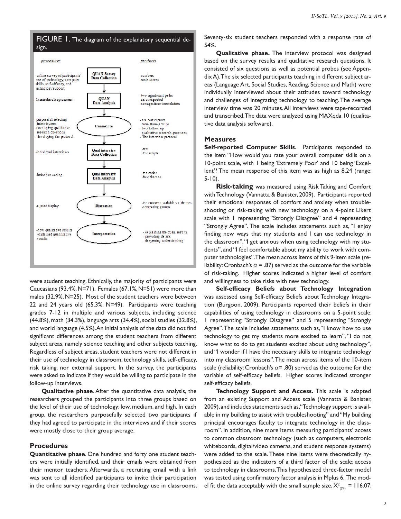

were student teaching. Ethnically, the majority of participants were Caucasians (93.4%, N=71). Females (67.1%, N=51) were more than males (32.9%, N=25). Most of the student teachers were between 22 and 24 years old (65.3%, N=49). Participants were teaching grades 7-12 in multiple and various subjects, including science (44.8%), math (34.3%), language arts (34.4%), social studies (32.8%), and world language (4.5%). An initial analysis of the data did not find significant differences among the student teachers from different subject areas, namely science teaching and other subjects teaching. Regardless of subject areas, student teachers were not different in their use of technology in classroom, technology skills, self-efficacy, risk taking, nor external support. In the survey, the participants were asked to indicate if they would be willing to participate in the follow-up interviews.

**Qualitative phase**. After the quantitative data analysis, the researchers grouped the participants into three groups based on the level of their use of technology: low, medium, and high. In each group, the researchers purposefully selected two participants if they had agreed to participate in the interviews and if their scores were mostly close to their group average.

#### **Procedures**

**Quantitative phase**. One hundred and forty one student teachers were initially identified, and their emails were obtained from their mentor teachers. Afterwards, a recruiting email with a link was sent to all identified participants to invite their participation in the online survey regarding their technology use in classrooms. Seventy-six student teachers responded with a response rate of 54%.

**Qualitative phase.** The interview protocol was designed based on the survey results and qualitative research questions. It consisted of six questions as well as potential probes (see Appendix A). The six selected participants teaching in different subject areas (Language Art, Social Studies, Reading, Science and Math) were individually interviewed about their attitudes toward technology and challenges of integrating technology to teaching. The average interview time was 20 minutes. All interviews were tape-recorded and transcribed. The data were analyzed using MAXqda 10 (qualitative data analysis software).

#### **Measures**

**Self-reported Computer Skills**. Participants responded to the item "How would you rate your overall computer skills on a 10-point scale, with 1 being 'Extremely Poor' and 10 being 'Excellent'? The mean response of this item was as high as 8.24 (range: 5-10).

**Risk-taking** was measured using Risk Taking and Comfort with Technology (Vannatta & Banister, 2009). Participants reported their emotional responses of comfort and anxiety when troubleshooting or risk-taking with new technology on a 4-point Likert scale with 1 representing "Strongly Disagree" and 4 representing "Strongly Agree". The scale includes statements such as, "I enjoy finding new ways that my students and I can use technology in the classroom", "I get anxious when using technology with my students", and "I feel comfortable about my ability to work with computer technologies". The mean across items of this 9-item scale (reliability: Cronbach's  $\alpha$  = .87) served as the outcome for the variable of risk-taking. Higher scores indicated a higher level of comfort and willingness to take risks with new technology.

**Self-efficacy Beliefs about Technology Integration** was assessed using Self-efficacy Beliefs about Technology Integration (Burgoon, 2009). Participants reported their beliefs in their capabilities of using technology in classrooms on a 5-point scale: 1 representing "Strongly Disagree" and 5 representing "Strongly Agree". The scale includes statements such as, "I know how to use technology to get my students more excited to learn", "I do not know what to do to get students excited about using technology", and "I wonder if I have the necessary skills to integrate technology into my classroom lessons". The mean across items of the 10-item scale (reliability: Cronbach's  $\alpha$ = .80) served as the outcome for the variable of self-efficacy beliefs. Higher scores indicated stronger self-efficacy beliefs.

**Technology Support and Access.** This scale is adapted from an existing Support and Access scale (Vannatta & Banister, 2009), and includes statements such as, "Technology support is available in my building to assist with troubleshooting" and "My building principal encourages faculty to integrate technology in the classroom". In addition, nine more items measuring participants' access to common classroom technology (such as computers, electronic whiteboards, digital/video cameras, and student response systems) were added to the scale. These nine items were theoretically hypothesized as the indicators of a third factor of the scale: access to technology in classrooms. This hypothesized three-factor model was tested using confirmatory factor analysis in Mplus 6. The model fit the data acceptably with the small sample size,  $X^2_{(74)} = 116.07$ ,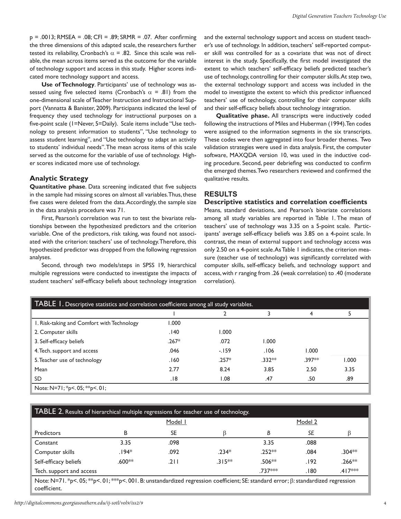$p = .0013$ ; RMSEA = .08; CFI = .89; SRMR = .07. After confirming the three dimensions of this adapted scale, the researchers further tested its reliability, Cronbach's  $\alpha$  = .82. Since this scale was reliable, the mean across items served as the outcome for the variable of technology support and access in this study. Higher scores indicated more technology support and access.

**Use of Technology**. Participants' use of technology was assessed using five selected items (Cronbach's  $\alpha$  = .81) from the one-dimensional scale of Teacher Instruction and Instructional Support (Vannatta & Banister, 2009). Participants indicated the level of frequency they used technology for instructional purposes on a five-point scale (1=Never, 5=Daily). Scale items include "Use technology to present information to students", "Use technology to assess student learning", and "Use technology to adapt an activity to students' individual needs". The mean across items of this scale served as the outcome for the variable of use of technology. Higher scores indicated more use of technology.

#### **Analytic Strategy**

**Quantitative phase**. Data screening indicated that five subjects in the sample had missing scores on almost all variables. Thus, these five cases were deleted from the data. Accordingly, the sample size in the data analysis procedure was 71.

First, Pearson's correlation was run to test the bivariate relationships between the hypothesized predictors and the criterion variable. One of the predictors, risk taking, was found not associated with the criterion: teachers' use of technology. Therefore, this hypothesized predictor was dropped from the following regression analyses.

Second, through two models/steps in SPSS 19, hierarchical multiple regressions were conducted to investigate the impacts of student teachers' self-efficacy beliefs about technology integration

and the external technology support and access on student teacher's use of technology. In addition, teachers' self-reported computer skill was controlled for as a covariate that was not of direct interest in the study. Specifically, the first model investigated the extent to which teachers' self-efficacy beliefs predicted teacher's use of technology, controlling for their computer skills. At step two, the external technology support and access was included in the model to investigate the extent to which this predictor influenced teachers' use of technology, controlling for their computer skills and their self-efficacy beliefs about technology integration.

**Qualitative phase.** All transcripts were inductively coded following the instructions of Miles and Huberman (1994). Ten codes were assigned to the information segments in the six transcripts. These codes were then aggregated into four broader themes. Two validation strategies were used in data analysis. First, the computer software, MAXQDA version 10, was used in the inductive coding procedure. Second, peer debriefing was conducted to confirm the emerged themes. Two researchers reviewed and confirmed the qualitative results.

## **RESULTS**

#### **Descriptive statistics and correlation coefficients**

Means, standard deviations, and Pearson's bivariate correlations among all study variables are reported in Table 1. The mean of teachers' use of technology was 3.35 on a 5-point scale. Participants' average self-efficacy beliefs was 3.85 on a 4-point scale. In contrast, the mean of external support and technology access was only 2.50 on a 4-point scale. As Table 1 indicates, the criterion measure (teacher use of technology) was significantly correlated with computer skills, self-efficacy beliefs, and technology support and access, with r ranging from .26 (weak correlation) to .40 (moderate correlation).

| TABLE 1. Descriptive statistics and correlation coefficients among all study variables. |         |         |          |          |       |  |  |
|-----------------------------------------------------------------------------------------|---------|---------|----------|----------|-------|--|--|
|                                                                                         |         |         |          | 4        |       |  |  |
| 1. Risk-taking and Comfort with Technology                                              | 000.1   |         |          |          |       |  |  |
| 2. Computer skills                                                                      | .140    | 1.000   |          |          |       |  |  |
| 3. Self-efficacy beliefs                                                                | $.267*$ | .072    | 1.000    |          |       |  |  |
| 4. Tech. support and access                                                             | .046    | $-159$  | .106     | 1.000    |       |  |  |
| 5. Teacher use of technology                                                            | .160    | $.257*$ | $.332**$ | $.397**$ | 1.000 |  |  |
| Mean                                                                                    | 2.77    | 8.24    | 3.85     | 2.50     | 3.35  |  |  |
| <b>SD</b>                                                                               | 18.     | 1.08    | .47      | .50      | .89   |  |  |
| Note: N=71; *p<. 05; **p<. 01;                                                          |         |         |          |          |       |  |  |

## TABLE 2. Results of hierarchical multiple regressions for teacher use of technology.

|                          |          | Model I |          |          | Model 2 |           |
|--------------------------|----------|---------|----------|----------|---------|-----------|
| <b>Predictors</b>        | в        | SE      |          | В        | SE      |           |
| Constant                 | 3.35     | .098    |          | 3.35     | .088    |           |
| Computer skills          | $.194*$  | .092    | $.234*$  | $.252**$ | .084    | $.304**$  |
| Self-efficacy beliefs    | $.600**$ | .211    | $.315**$ | .506**   | .192    | $.266**$  |
| Tech. support and access |          |         |          | .737***  | .180    | $.417***$ |

Note: N=71. \*p<. 05; \*\*p<. 01; \*\*\*p<. 001. B: unstandardized regression coefficient; SE: standard error; β: standardized regression coefficient.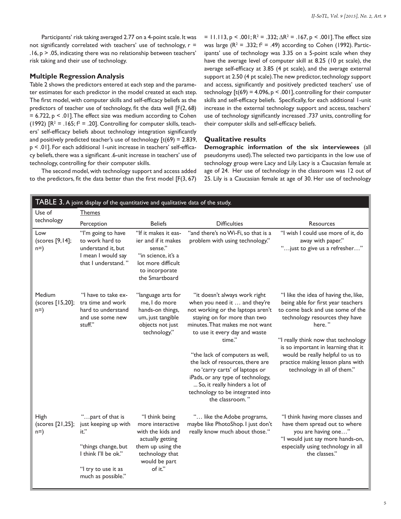Participants' risk taking averaged 2.77 on a 4-point scale. It was not significantly correlated with teachers' use of technology,  $r =$  $.16, p > .05$ , indicating there was no relationship between teachers' risk taking and their use of technology.

#### **Multiple Regression Analysis**

Table 2 shows the predictors entered at each step and the parameter estimates for each predictor in the model created at each step. The first model, with computer skills and self-efficacy beliefs as the predictors of teacher use of technology, fit the data well [F(2, 68)  $= 6.722$ ,  $p < .01$ ]. The effect size was medium according to Cohen (1992)  $[R^2 = .165; f^2 = .20]$ . Controlling for computer skills, teachers' self-efficacy beliefs about technology integration significantly and positively predicted teacher's use of technology  $[t(69) = 2.839]$ , p < .01]. For each additional 1-unit increase in teachers' self-efficacy beliefs, there was a significant .6-unit increase in teachers' use of technology, controlling for their computer skills.

The second model, with technology support and access added to the predictors, fit the data better than the first model  $[F(3, 67)]$  = 11.113, p < .001;  $R^2 = .332$ ;  $\Delta R^2 = .167$ , p < .001]. The effect size was large  $(R^2 = .332; f^2 = .49)$  according to Cohen (1992). Participants' use of technology was 3.35 on a 5-point scale when they have the average level of computer skill at 8.25 (10 pt scale), the average self-efficacy at 3.85 (4 pt scale), and the average external support at 2.50 (4 pt scale). The new predictor, technology support and access, significantly and positively predicted teachers' use of technology  $[t(69) = 4.096, p < .001]$ , controlling for their computer skills and self-efficacy beliefs. Specifically, for each additional 1-unit increase in the external technology support and access, teachers' use of technology significantly increased .737 units, controlling for their computer skills and self-efficacy beliefs.

#### **Qualitative results**

**Demographic information of the six interviewees** (all pseudonyms used). The selected two participants in the low use of technology group were Lacy and Lily. Lacy is a Caucasian female at age of 24. Her use of technology in the classroom was 12 out of 25. Lily is a Caucasian female at age of 30. Her use of technology

| TABLE 3. A joint display of the quantitative and qualitative data of the study. |                                                                                                                                              |                                                                                                                                                 |                                                                                                                                                                                                                                                                                                                                                                                                                                                          |                                                                                                                                                                                                                                                                                                                                                   |  |  |  |
|---------------------------------------------------------------------------------|----------------------------------------------------------------------------------------------------------------------------------------------|-------------------------------------------------------------------------------------------------------------------------------------------------|----------------------------------------------------------------------------------------------------------------------------------------------------------------------------------------------------------------------------------------------------------------------------------------------------------------------------------------------------------------------------------------------------------------------------------------------------------|---------------------------------------------------------------------------------------------------------------------------------------------------------------------------------------------------------------------------------------------------------------------------------------------------------------------------------------------------|--|--|--|
| Use of                                                                          | <b>Themes</b>                                                                                                                                |                                                                                                                                                 |                                                                                                                                                                                                                                                                                                                                                                                                                                                          |                                                                                                                                                                                                                                                                                                                                                   |  |  |  |
| technology                                                                      | Perception                                                                                                                                   | <b>Beliefs</b>                                                                                                                                  | <b>Difficulties</b>                                                                                                                                                                                                                                                                                                                                                                                                                                      | Resources                                                                                                                                                                                                                                                                                                                                         |  |  |  |
| Low<br>(scores [9,14];<br>$n=$ )                                                | "I'm going to have<br>to work hard to<br>understand it, but<br>I mean I would say<br>that I understand."                                     | "If it makes it eas-<br>ier and if it makes<br>sense."<br>"in science, it's a<br>lot more difficult<br>to incorporate<br>the Smartboard         | "and there's no Wi-Fi, so that is a<br>problem with using technology."                                                                                                                                                                                                                                                                                                                                                                                   | "I wish I could use more of it, do<br>away with paper."<br>"just to give us a refresher"                                                                                                                                                                                                                                                          |  |  |  |
| Medium<br>(scores [15,20];<br>$n=$ )                                            | "I have to take ex-<br>tra time and work<br>hard to understand<br>and use some new<br>stuff."                                                | "language arts for<br>me. I do more<br>hands-on things,<br>um, just tangible<br>objects not just<br>technology."                                | "it doesn't always work right<br>when you need it  and they're<br>not working or the laptops aren't<br>staying on for more than two<br>minutes. That makes me not want<br>to use it every day and waste<br>time."<br>"the lack of computers as well,<br>the lack of resources, there are<br>no 'carry carts' of laptops or<br>iPads, or any type of technology,<br>So, it really hinders a lot of<br>technology to be integrated into<br>the classroom." | "I like the idea of having the, like,<br>being able for first year teachers<br>to come back and use some of the<br>technology resources they have<br>here."<br>"I really think now that technology<br>is so important in learning that it<br>would be really helpful to us to<br>practice making lesson plans with<br>technology in all of them." |  |  |  |
| High<br>(scores [21,25];<br>$n=$ )                                              | "part of that is<br>just keeping up with<br>it."<br>"things change, but<br>I think I'll be ok."<br>"I try to use it as<br>much as possible." | "I think being<br>more interactive<br>with the kids and<br>actually getting<br>them up using the<br>technology that<br>would be part<br>of it." | " like the Adobe programs,<br>maybe like PhotoShop. I just don't<br>really know much about those."                                                                                                                                                                                                                                                                                                                                                       | "I think having more classes and<br>have them spread out to where<br>you are having one"<br>"I would just say more hands-on,<br>especially using technology in all<br>the classes."                                                                                                                                                               |  |  |  |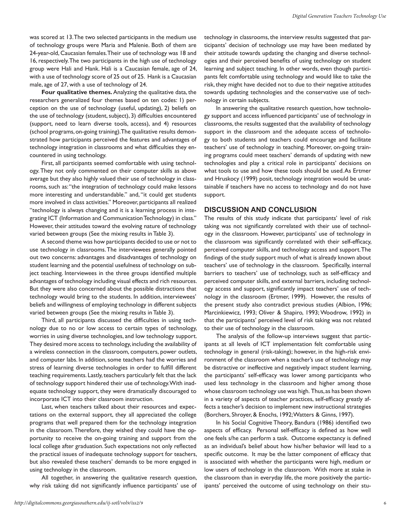was scored at 13. The two selected participants in the medium use of technology groups were Maria and Malenie. Both of them are 24-year-old, Caucasian females. Their use of technology was 18 and 16, respectively. The two participants in the high use of technology group were Hali and Hank. Hali is a Caucasian female, age of 24, with a use of technology score of 25 out of 25. Hank is a Caucasian male, age of 27, with a use of technology of 24.

**Four qualitative themes.** Analyzing the qualitative data, the researchers generalized four themes based on ten codes: 1) perception on the use of technology (useful, updating), 2) beliefs on the use of technology (student, subject), 3) difficulties encountered (support, need to learn diverse tools, access), and 4) resources (school programs, on-going training). The qualitative results demonstrated how participants perceived the features and advantages of technology integration in classrooms and what difficulties they encountered in using technology.

First, all participants seemed comfortable with using technology. They not only commented on their computer skills as above average but they also highly valued their use of technology in classrooms, such as: "the integration of technology could make lessons more interesting and understandable." and, "it could get students more involved in class activities." Moreover, participants all realized "technology is always changing and it is a learning process in integrating ICT (Information and Communication Technology) in class." However, their attitudes toward the evolving nature of technology varied between groups (See the mixing results in Table 3).

A second theme was how participants decided to use or not to use technology in classrooms. The interviewees generally pointed out two concerns: advantages and disadvantages of technology on student learning and the potential usefulness of technology on subject teaching. Interviewees in the three groups identified multiple advantages of technology including visual effects and rich resources. But they were also concerned about the possible distractions that technology would bring to the students. In addition, interviewees' beliefs and willingness of employing technology in different subjects varied between groups (See the mixing results in Table 3).

Third, all participants discussed the difficulties in using technology due to no or low access to certain types of technology, worries in using diverse technologies, and low technology support. They desired more access to technology, including the availability of a wireless connection in the classroom, computers, power outlets, and computer labs. In addition, some teachers had the worries and stress of learning diverse technologies in order to fulfill different teaching requirements. Lastly, teachers particularly felt that the lack of technology support hindered their use of technology. With inadequate technology support, they were dramatically discouraged to incorporate ICT into their classroom instruction.

Last, when teachers talked about their resources and expectations on the external support, they all appreciated the college programs that well prepared them for the technology integration in the classroom. Therefore, they wished they could have the opportunity to receive the on-going training and support from the local college after graduation. Such expectations not only reflected the practical issues of inadequate technology support for teachers, but also revealed these teachers' demands to be more engaged in using technology in the classroom.

All together, in answering the qualitative research question, why risk taking did not significantly influence participants' use of technology in classrooms, the interview results suggested that participants' decision of technology use may have been mediated by their attitude towards updating the changing and diverse technologies and their perceived benefits of using technology on student learning and subject teaching. In other words, even though participants felt comfortable using technology and would like to take the risk, they might have decided not to due to their negative attitudes towards updating technologies and the conservative use of technology in certain subjects.

In answering the qualitative research question, how technology support and access influenced participants' use of technology in classrooms, the results suggested that the availability of technology support in the classroom and the adequate access of technology to both students and teachers could encourage and facilitate teachers' use of technology in teaching. Moreover, on-going training programs could meet teachers' demands of updating with new technologies and play a critical role in participants' decisions on what tools to use and how these tools should be used. As Ertmer and Hruskocy (1999) posit, technology integration would be unattainable if teachers have no access to technology and do not have support.

#### **DISCUSSION AND CONCLUSION**

The results of this study indicate that participants' level of risk taking was not significantly correlated with their use of technology in the classroom. However, participants' use of technology in the classroom was significantly correlated with their self-efficacy, perceived computer skills, and technology access and support. The findings of the study support much of what is already known about teachers' use of technology in the classroom. Specifically, internal barriers to teachers' use of technology, such as self-efficacy and perceived computer skills, and external barriers, including technology access and support, significantly impact teachers' use of technology in the classroom (Ertmer, 1999). However, the results of the present study also contradict previous studies (Albion, 1996; Marcinkiewicz, 1993; Oliver & Shapiro, 1993; Woodrow, 1992) in that the participants' perceived level of risk taking was not related to their use of technology in the classroom.

The analysis of the follow-up interviews suggest that participants at all levels of ICT implementation felt comfortable using technology in general (risk-taking); however, in the high-risk environment of the classroom when a teacher's use of technology may be distractive or ineffective and negatively impact student learning, the participants' self-efficacy was lower among participants who used less technology in the classroom and higher among those whose classroom technology use was high. Thus, as has been shown in a variety of aspects of teacher practices, self-efficacy greatly affects a teacher's decision to implement new instructional strategies (Borchers, Shroyer, & Enochs, 1992; Watters & Ginns, 1997).

In his Social Cognitive Theory, Bandura (1986) identified two aspects of efficacy. Personal self-efficacy is defined as how well one feels s/he can perform a task. Outcome expectancy is defined as an individual's belief about how his/her behavior will lead to a specific outcome. It may be the latter component of efficacy that is associated with whether the participants were high, medium or low users of technology in the classroom. With more at stake in the classroom than in everyday life, the more positively the participants' perceived the outcome of using technology on their stu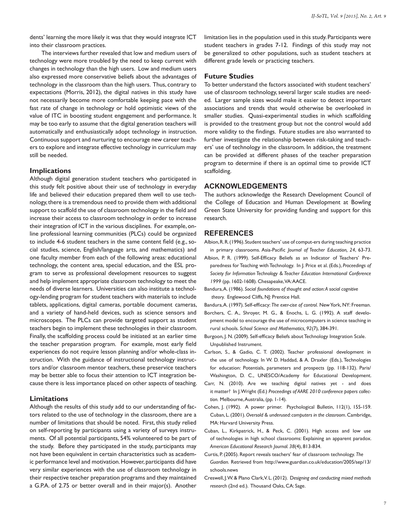dents' learning the more likely it was that they would integrate ICT into their classroom practices.

The interviews further revealed that low and medium users of technology were more troubled by the need to keep current with changes in technology than the high users. Low and medium users also expressed more conservative beliefs about the advantages of technology in the classroom than the high users. Thus, contrary to expectations (Morris, 2012), the digital natives in this study have not necessarily become more comfortable keeping pace with the fast rate of change in technology or hold optimistic views of the value of ITC in boosting student engagement and performance. It may be too early to assume that the digital generation teachers will automatically and enthusiastically adopt technology in instruction. Continuous support and nurturing to encourage new career teachers to explore and integrate effective technology in curriculum may still be needed.

#### **Implications**

Although digital generation student teachers who participated in this study felt positive about their use of technology in everyday life and believed their education prepared them well to use technology, there is a tremendous need to provide them with additional support to scaffold the use of classroom technology in the field and increase their access to classroom technology in order to increase their integration of ICT in the various disciplines. For example, online professional learning communities (PLCs) could be organized to include 4-6 student teachers in the same content field (e.g., social studies, science, English/language arts, and mathematics) and one faculty member from each of the following areas: educational technology, the content area, special education, and the ESL program to serve as professional development resources to suggest and help implement appropriate classroom technology to meet the needs of diverse learners. Universities can also institute a technology-lending program for student teachers with materials to include tablets, applications, digital cameras, portable document cameras, and a variety of hand-held devices, such as science sensors and microscopes. The PLCs can provide targeted support as student teachers begin to implement these technologies in their classroom. Finally, the scaffolding process could be initiated at an earlier time the teacher preparation program. For example, most early field experiences do not require lesson planning and/or whole-class instruction. With the guidance of instructional technology instructors and/or classroom mentor teachers, these preservice teachers may be better able to focus their attention to ICT integration because there is less importance placed on other aspects of teaching.

#### **Limitations**

Although the results of this study add to our understanding of factors related to the use of technology in the classroom, there are a number of limitations that should be noted. First, this study relied on self-reporting by participants using a variety of surveys instruments. Of all potential participants, 54% volunteered to be part of the study. Before they participated in the study, participants may not have been equivalent in certain characteristics such as academic performance level and motivation. However, participants did have very similar experiences with the use of classroom technology in their respective teacher preparation programs and they maintained a G.P.A. of 2.75 or better overall and in their major(s). Another

limitation lies in the population used in this study. Participants were student teachers in grades 7-12. Findings of this study may not be generalized to other populations, such as student teachers at different grade levels or practicing teachers.

#### **Future Studies**

To better understand the factors associated with student teachers' use of classroom technology, several larger scale studies are needed. Larger sample sizes would make it easier to detect important associations and trends that would otherwise be overlooked in smaller studies. Quasi-experimental studies in which scaffolding is provided to the treatment group but not the control would add more validity to the findings. Future studies are also warranted to further investigate the relationship between risk-taking and teachers' use of technology in the classroom. In addition, the treatment can be provided at different phases of the teacher preparation program to determine if there is an optimal time to provide ICT scaffolding.

#### **ACKNOWLEDGEMENTS**

The authors acknowledge the Research Development Council of the College of Education and Human Development at Bowling Green State University for providing funding and support for this research.

#### **REFERENCES**

Albion, R. R. (1996). Student teachers' use of comput-ers during teaching practice

- in primary classrooms. Asia-Pacific *Journal of Teacher Education, 24*, 63-73. Albion, P. R. (1999). Self-Efficacy Beliefs as an Indicator of Teachers' Preparedness for Teaching with Technology. In J. Price et al. (Eds.), *Proceedings of Society for Information Technology & Teacher Education International Conference 1999* (pp. 1602-1608). Chesapeake, VA: AACE.
- Bandura, A. (1986). *Social foundations of thought and action: A social cognitive theory.* Englewood Cliffs, NJ: Prentice Hall.

Bandura, A. (1997). Self-efficacy: *The exer-cise of control.* New York, NY: Freeman.

- Borchers, C. A., Shroyer, M. G., & Enochs, L. G. (1992). A staff development model to encourage the use of microcomputers in science teaching in rural schools. *School Science and Mathematics, 92*(7), 384-391.
- Burgoon, J. N. (2009). Self-efficacy Beliefs about Technology Integration Scale. Unpublished Instrument.
- Carlson, S., & Gadio, C. T. (2002). Teacher professional development in the use of technology. In W. D. Haddad, & A. Draxler (Eds.), Technologies for education: Potentials, parameters and prospects (pp. 118-132). Paris/ Washington, D. C., UNESCO/Academy for Educational Development.
- Carr, N. (2010). Are we teaching digital natives yet and does it matter? In J. Wright (Ed.) *Proceedings of AARE 2010 conference papers collection.* Melbourne, Australia, (pp. 1-14).
- Cohen, J. (1992). A power primer. Psychological Bulletin, 112(1), 155-159. Cuban, L. (2001). *Oversold & underused: computers in the classroom*. Cambridge, MA: Harvard University Press.
- Cuban, L., Kirkpatrick, H., & Peck, C. (2001). High access and low use of technologies in high school classrooms: Explaining an apparent paradox. *American Educational Research Journal. 38*(4), 813-834.
- Curtis, P. (2005). Report reveals teachers' fear of classroom technology. *The Guardian.* Retrieved from http://www.guardian.co.uk/education/2005/sep/13/ schools.news
- Creswell, J. W. & Plano Clark, V. L. (2012). D*esigning and conducting mixed methods research* (2nd ed.). Thousand Oaks, CA: Sage.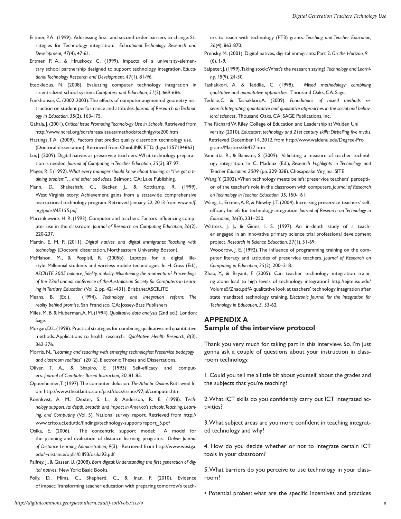- Ertmer, P.A. (1999). Addressing first- and second-order barriers to change: Strategies for Technology integration. *Educational Technology Research and Development, 47*(4), 47-61.
- Ertmer, P. A., & Hruskocy, C. (1999). Impacts of a university-elementary school partnership designed to support technology integration. E*ducational Technology Research and Development, 47*(1), 81-96.
- Eteokleous, N. (2008). Evaluating computer technology integration in a centralized school system. *Computers and Education, 51*(2), 669-686.
- Funkhouser, C. (2002-2003). The effects of computer-augmented geometry instruction on student performance and attitudes. *Journal of Research on Technology in Education, 35*(2), 163-175.
- Gahala, J. (2001). *Critical Issue Promoting Technolo-gy Use in Schools*. Retrieved from http://www.ncrel.org/sdrs/areas/issues/methods/technlgy/te200.htm
- Hastings, T.A. (2009). Factors that predict quality classroom technology use. (Doctoral dissertation). Retrieved from OhioLINK ETD. (bgsu1257194863)
- Lei, J. (2009). Digital natives as preservice teach-ers: What technology preparation is needed. *Journal of Computing in Teacher Education, 25*(3), 87-97.
- Mager, R. F. (1992). *What every manager should know about training: or "I've got a training problem"…and other odd ideas*. Belmont, CA: Lake Publishing.
- Mann, D., Shakeshaft, C., Becker, J., & Kottkamp, R. (1999). West Virginia story: Achievement gains from a statewide comprehensive instructional technology program. Retrieved January 22, 2013 from *www.mff. org/pubs/ME155.pdf*
- Marcinkiewicz, H. R. (1993). Computer and teachers: Factors influencing computer use in the classroom. *Journal of Research on Computing Education, 26*(2), 220-237.
- Martin, E. M. P. (2011). *Digital natives and digital immigrants: Teaching with technology* (Doctoral dissertation, Northeastern University Boston).
- McMahon, M., & Pospisil, R. (2005b). Laptops for a digital lifestyle: Millennial students and wireless mobile technologies. In H. Goss (Ed.), *ASCILITE 2005 balance, fidelity, mobility: Maintaining the momentum? Proceedings of the 22nd annual conference of the Australasian Society for Computers in Learning in Tertiary Education* (Vol. 2, pp. 421-431). Brisbane: ASCILITE
- Means, B. (Ed.). (1994). *Technology and integration reform: The reality behind promise*. San Francisco, CA: Jossey-Bass Publishers
- Miles, M. B. & Huberman, A. M. (1994). *Qualitative data analysis* (2nd ed.). London: Sage.
- Morgan, D. L. (1998). Practical strategies for combining qualitative and quantitative methods: Applications to health research. *Qualitative Health Research, 8*(3), 362-376.
- Morris, N., "*Learning and teaching with emerging technologies: Preservice pedagogy and classroom realities*" (2012). Electronic Theses and Dissertations.
- Oliver, T. A., & Shapiro, E (1993) Self-efficacy and computers. *Journal of Computer Based Instruction, 20*, 81-85.
- Oppenheimer, T. (1997). The computer delusion. *The Atlantic Online*. Retrieved from http://www.theatlantic.com/past/docs/issues/97jul/computer.htm
- Ronnkvist, A. M., Dexter, S. L., & Anderson, R. E. (1998). T*echnology support: Its depth, breadth and impact in America's schools. Teaching, Learning, and Computing* (Vol. 5). National survey report. Retrieved from http:// www.crito.uci.edu/tlc/findings/technology-support/report\_5.pdf
- Osika, E. (2006). The concentric support model: A model for the planning and evaluation of distance learning programs. *Online Journal of Distance Learning Administration, 9*(3). Retrieved from http://www.westga. edu/~distance/ojdla/fall93/osika93.pdf
- Palfrey, J., & Gasser, U. (2008). *Born digital: Understanding the first generation of digital natives.* New York: Basic Books.
- Polly, D., Mims, C., Shepherd, C., & Inan, F. (2010). Evidence of impact: Transforming teacher education with preparing tomorrow's teach-

ers to teach with technology (PT3) grants. *Teaching and Teacher Education, 26*(4), 863-870.

- Prensky, M. (2001). Digital natives, digi-tal immigrants: Part 2. *On the Horizon, 9*  $(6)$ ,  $1-9$ .
- Salpeter, J. (1999). Taking stock: What's the research saying? *Technology and Learning, 18*(9), 24-30.
- Tashakkori, A. & Teddlie, C. (1998). *Mixed methodology: combining qualitative and quantitative approaches*. Thousand Oaks, CA: Sage.

Teddlie,C. & Tashakkori,A. (2009). *Foundations of mixed methods research: Integrating quantitative and qualitative approaches in the social and behavioral sciences.* Thousand Oaks, CA: SAGE Publications, Inc.

- The Richard W. Riley College of Education and Leadership at Walden Uni versity. (2010). *Educators, technology and 21st century skills: Dispelling five myths*. Retrieved December 14, 2012, from http://www.waldenu.edu/Degree-Pro grams/Masters/36427.htm
- Vannatta, R., & Banister, S. (2009). Validating a measure of teacher technology integration. In C. Maddux (Ed.), *Research Highlights in Technology and Teacher Education 2009* (pp. 329-338). Chesapeake, Virginia: SITE
- Wang, Y. (2002). When technology meets beliefs: preservice teachers' perception of the teacher's role in the classroom with computers. *Journal of Research on Technology in Teacher Education, 35,* 150-161.
- Wang, L., Ertmer, A. P., & Newby, J. T. (2004). Increasing preservice teachers' selfefficacy beliefs for technology integration. *Journal of Research on Technology in Education, 36*(3), 231–250.
- Watters, J. J., & Ginns, I. S. (1997). An in-depth study of a teacher engaged in an innovative primary science trial professional development project. *Research in Science Education, 27*(1), 51-69.

Woodrow, J. E. (1992). The influence of programming training on the computer literacy and attitudes of preservice teachers. *Journal of Research on Computing in Education, 25*(2), 200–218.

Zhao, Y., & Bryant, F. (2005). Can teacher technology integration training alone lead to high levels of technology integration? http://ejite.isu.edu/ Volume5/Zhao.pdfA qualitative look at teachers' technology integration after state mandated technology training. *Electronic Journal for the Integration for Technology in Education, 5,* 53-62.

## **APPENDIX A Sample of the interview protocol**

Thank you very much for taking part in this interview. So, I'm just gonna ask a couple of questions about your instruction in classroom technology.

1. Could you tell me a little bit about yourself, about the grades and the subjects that you're teaching?

2. What ICT skills do you confidently carry out ICT integrated activities?

3. What subject areas are you more confident in teaching integrated technology and why?

4. How do you decide whether or not to integrate certain ICT tools in your classroom?

5. What barriers do you perceive to use technology in your classroom?

• Potential probes: what are the specific incentives and practices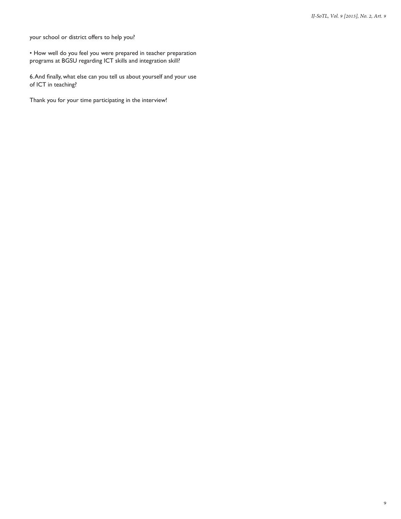your school or district offers to help you?

• How well do you feel you were prepared in teacher preparation programs at BGSU regarding ICT skills and integration skill?

6. And finally, what else can you tell us about yourself and your use of ICT in teaching?

Thank you for your time participating in the interview!